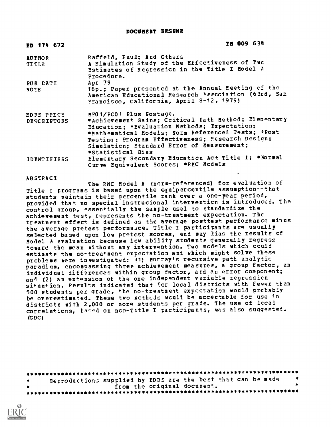| TH 009 634                                           |
|------------------------------------------------------|
| Raffeld, Paul; And Others                            |
| A Simulation Study of the Effectiveness of Two       |
| Estimates of Regression in the Title I Model A       |
| Procedure.                                           |
| Apr 79                                               |
| 16p.; Paper presented at the Annual Meeting of the   |
| American Educational Research Association (63rd, San |
| Francisco, California, April 8-12, 1979)             |
| HPO 1/PC01 Plus Fostage.                             |
| *Achievement Gains; Critical Fath Method; Elementary |
| Education; *Evaluation Methods; Expectation;         |
| *Mathematical Models; Norm Referenced Tests; *Post   |
| Testing; Program Effectiveness; Research Design;     |
| Simulation; Standard Error of Measurement;           |
| *Statistical Bias                                    |
| Elementary Secondary Education Act Title I; *Normal  |
| Curve Equivalent Scores: *RMC Mcdels                 |
|                                                      |

ABSTRACT

The RMC Model A (norm-referenced) for evaluation of Title I programs is based upon the equipercentile assumption--that students maintain their percentile rank over a one-year period, provided that no special instrucional intervention is introduced. The control group, essentially the sample used to standardize the achievement test, represents the no-treatment expectation. The treatment effect is defined as the average posttest performance minus the average pretest performance. Title I participants are usually selected based upon low pretest scores, and may tias the results of Model A evaluation because low ability students generally regress toward the mean without any intervention. Two models which could estimate the no-treatment expectation and which might solve these problems were investigated: (1) Murray's recursive path analytic paradigm, encompassing three achievement measures, a group factor, an individual differences within group factor, and an error component; and (2) an extension of the one independent variable regression situation. Results indicated that for local districts with fewer than 500 students per grade, the no-treatment expectation would probably be overestimated. These two methods would be acceptable for use in districts with 2,000 or more students per grade. The use of local correlations, based on non-Title I participants, was also suggested. (G DC)

4\*\*\*\*\*\*\*\*\*\*\*\*\*\*\*\*\*WW\*\*\*\*\*\*\*\*\*\*\*\*\*\*\*\*\*\*\*\*\*\*\*\*\*\*\*\*\*\*\*\*\*\*\*\*\*\*\*\*\*\*\*\*\*\*\* Reproductions supplied by EDRS are the best that can be made<br>from the original document. from the original documert. \*\*\*\*\*\*\*\*\*\*\*\*\*\*\*\*\*\*\*\*\*\*\*\*\*\*\*\*\*\*\*\*\*\*\*\*\*\*\*\*\*\*\*\*\*\*\*\*\*\*\*\*\*\*\*\*\*\*\*\*\*\*\*\*\*\*\*\*\*\*\*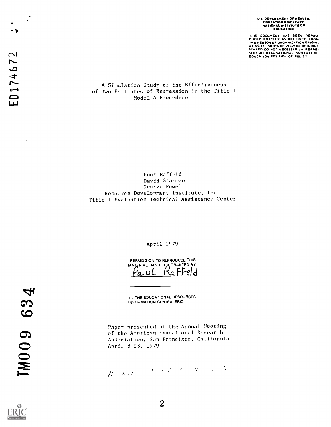U S DEPARTMENT OF HEALTH,<br>EDUCATION & WELFARE<br>NATIONAL INSTITUTE OF<br>EDUCATION

THIS DOCUMENT HAS BEEN REPRO-<br>DUCED EXACTLY AS RECEIVED FROM<br>THE PERSON OR ORCANIZATION ORIGIN.<br>ATING IT POINTS OF VIEW OR OPINIONS<br>STATED DO NOT NECESSARILY REPRE-<br>SENICATION OR POLICY<br>EOUCATION POSITION OR POLICY

### A Simulation Study of the Effectiveness of Two Estimates of Regression in the Title I Model A Procedure

 $\sqrt{1+\delta}$ 

Paul Raffeld David Stamman George Powell Resource Development Institute, Inc. Title I Evaluation Technical Assistance Center

### April 1979

-PERMISSION TO REPRODUCE THIS MATERIAL HAS BEEN GRANTED BY 'a uL KaFFe

TO THE EDUCATIONAL RESOURCES INFORMATION CENTER (ERIC)."

Paper presented at the Annual Meeting of the American Educational Research Association, San Francisco, California<br>April 8-13, 1979.

Admitted Stephen to the Court



ib

TM009 634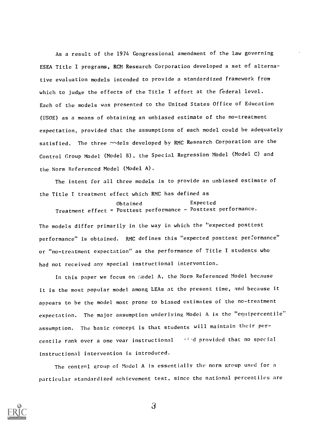As a result of the 1974 Congressional amendment of the law governing ESEA Title I programs, RCM Research Corporation developed a set of alternative evaluation models intended to provide a standardized framework from which to judge the effects of the Title I effort at the federal level. Each of the models was presented to the United States Office of Education (USOE) as a means of obtaining an unbiased estimate of the no-treatment expectation, provided that the assumptions of each model could be adequately satisfied. The three models developed by RMC Research Corporation are the Control Group Model (Model B), the Special Regression Model (Model C) and the Norm Referenced Model (Model A).

The intent for all three models is to provide an unbiased estimate of the Title I treatment effect which RMC has defined as

Obtained Expected Treatment effect = Posttest performance - Posttest performance.

The models differ primarily in the way in which the "expected posttest performance" is obtained. RMC defines this "expected posttest performance" or "no-treatment expectation" as the performance of Title I students who had not received any special instructional intervention.

In this paper we focus on fiodel A, the Norm Referenced Model because it is the most popular model among LEAs at the present time, and because it appears to be the model most prone to biased estimates of the no-treatment expectation. The major assumption underlying Model A is the "equipercentile" assumption. The basic concept is that students will maintain their percentile rank over a one vear instructional - ried provided that no special instructional intervention is introduced.

The control group of Model A is essentially the norm group used for a particular standardized achievement test, since the national percentiles are

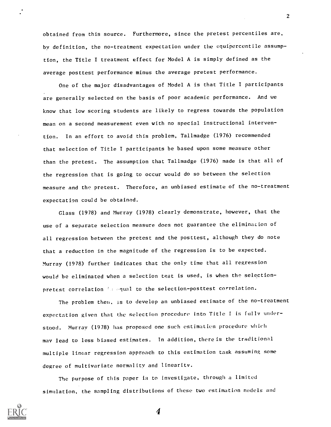obtained from this source. Furthermore, since the pretest percentiles are, by definition, the no-treatment expectation under the equipercentile assumption, the Title I treatment effect for Model A is simply defined as the average posttest performance minus the average pretest performance.

One of the major disadvantages of Model A is that Title I participants are generally selected on the basis of poor academic performance. And we know that low scoring students are likely to regress towards the population mean on a second measurement even with no special instructional intervention. In an effort to avoid this problem, Tallmadge (1976) recommended that selection of Title I participants be based upon some measure other than the pretest. The assumption that Tallmadge (1976) made is that all of the regression that is going to occur would do so between the selection measure and the pretest. Therefore, an unbiased estimate of the no-treatment expectation could be obtained.

Class (1978) and Murray (1978) clearly demonstrate, however, that the use of a separate selection measure does not guarantee the elimination of all regression between the pretest and the posttest, although they do note that a reduction in the magnitude of the regression is to be expected. Murray (1978) further indicates that the only time that all regression would be eliminated when a selection test is used, is when the selectionpretest correlation  $\beta$  and  $q$ ual to the selection-posttest correlation.

The problem then, is to develop an unbiased estimate of the no-treatment expectation given that the selection procedure into Title I is fully understood. Murray (1978) has proposed one such estimalicn procedure which may lead to less biased estimates. In addition, there is the traditional multiple linear regression approach to this estimation task assuming some degree of multivariate normality and linearity.

The purpose of this paper is to investigate, through a limited simulation, the sampling distributions of these two estimation models and

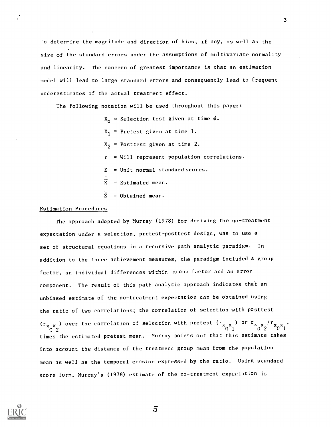to determine the magnitude and direction of bias, if any, as well as the size of the standard errors under the assumptions of multivariate normality and linearity. The concern of greatest importance is that an estimation model will lead to large standard errors and consequently lead to frequent underestimates of the actual treatment effect.

The following notation will be used throughout this paper:

 $\textnormal{X}^{\phantom{\dagger}}_\textnormal{O}$  = Selection test given at time  $\phi$ .  $X_{1}$  = Pretest given at time 1.  $X_2$  = Posttest given at time 2.  $r = Will$  represent population correlations. Z = Unit normal standard scores.  $\overline{z}$  = Estimated mean.  $\widetilde{z}$  = Obtained mean.

### Estimation Procedures

The approach adopted by Murray (1978) for deriving the no-treatment expectation under a selection, pretest-posttest design, was to use a set of structural equations in a recursive path analytic paradigm. In addition to the three achievement measures, the paradigm included a group factor, an individual differences within group factor and an error component. The result of this path analytic approach indicates that an unbiased estimate of the no-treatment expectation can be obtained using the ratio of two correlations; the correlation of selection with posttest  $\frac{\binom{r}{x-x}}{0}$  over the correlation of selection with pretest  $\frac{\binom{r}{x-x}}{0}$  or  $\frac{r}{x-x}$   $\frac{\binom{r}{x-x}}{0}$ times the estimated pretest mean. Murray points out that this estimate takes into account the distance of the treatmend group mean from the population mean as well as the temporal erosion expressed by the ratio. Using standard score form, Murray's (1978) estimate of the no-treatment expectation is

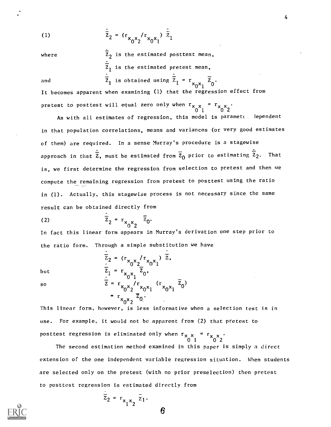(1) 
$$
\bar{z}_2 = (r_{x_0 x_2} / r_{x_0 x_1}) \bar{z}_1
$$

where  $\hat{\bar{z}}_2$  is the estimated posttest mean,  $\overline{z}_1$  is the estimated pretest mean, and  $\overline{z}_1$  is obtained using  $\overline{z}_1 = r_{x_0x_1} \overline{z}_0$ .

It becomes apparent when examining (1) that the regression effect from pretest to posttest will equal zero only when  $r_{\chi}$   $_{\chi}$  =  $r_{\chi}$   $_{\chi}$ .  $0^{x}$  1  $x^{x}$   $0^{x}$  2  $x^{x}$ 

As with all estimates of regression, this model is parameto dependent in that population correlations, means and variances (or very good estimates of them) are required. In a sense Murray's procedure is a stagewise approach in that  $\hat{\bar{z}}_1$  must be estimated from  $\bar{z}_0$  prior to estimating  $\hat{\bar{z}}_2$ . That is, we first determine the regression from selection to pretest and then we compute the remaining regression from pretest to posttest using the ratio in (1). Actually, this stagewise process is not necessary since the same result can be obtained directly from

$$
\overline{z}_2 = r_{x_0 x_2} \quad \overline{z}_0.
$$

In fact this linear form appears in Murray's derivation one step prior to the ratio form. Through a simple substitution we have

$$
\overline{z}_2 = (r_{x_0 x_2}/r_{x_0 x_1}) \overline{z},
$$
  
\nbut  
\n
$$
\overline{z}_1 = r_{x_0 x_1} \overline{z}_0,
$$
  
\n
$$
\overline{z} = r_{x_0 x_2}/r_{x_0 x_1} (r_{x_0 x_1} \overline{z}_0)
$$
  
\n
$$
= r_{x_0 x_2} \overline{z}_0.
$$

This linear form, however, is less informative when a selection test is in use. For example, it would not be apparent from (2) that pretest to posttest regression is eliminated only when  $r_\mathrm{x}$   $_\mathrm{x}$  =  $r_\mathrm{x}$   $_\mathrm{x}$   $_\mathrm{y}$   $_\mathrm{y}$ 0 1 0 2

The second estimation method examined in this paper is simply a direct extension of the one independent variable regression situation. When students are selected only on the pretest (with no prior preselection) then pretest to posttest regression is estimated directly from

$$
\overline{z}_2 = r_{x_1 x_2} \overline{z}_1.
$$

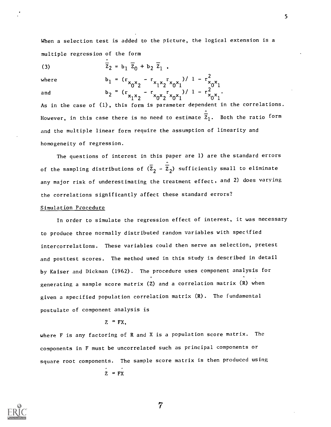When a selection test is added to the picture, the logical extension is a multiple regression of the form

(3) 
$$
\bar{z}_2 = b_1 \bar{z}_0 + b_2 \bar{z}_1
$$
,

where  $b_1 = (r_{x_0 x_2} - r_{x_1 x_2} r_{x_0 x_1})/1 - r_{x_0 x_1}^2$ and  $b_2 = (r_{x_1x_2} - r_{x_0x_2}r_{x_0x_1})/1 - r_{x_0x_1}^2$ .

As in the case of (1), this form is parameter dependent in the correlations. However, in this case there is no need to estimate  $\overline{z}_1$ . Both the ratio form and the multiple linear form require the assumption of linearity and homogeneity of regression.

The questions of interest in this paper are 1) are the standard errors of the sampling distributions of  $(\overline{z}_2 - \overline{z}_2)$  sufficiently small to eliminate any major risk of underestimating the treatment effect, and 2) does varying the correlations significantly affect these standard errors?

### Simulation Procedure

In order to simulate the regression effect of interest, it was necessary to produce three normally distributed random variables with specified intercorrelations. These variables could then serve as selection, pretest and posttest scores. The method used in this study is described in detail by Kaiser and Dickman (1962). The procedure uses component analysis for generating a sample score matrix (Z) and a correlation matrix (R) when given a specified population correlation matrix (R). The fundamental postulate of component analysis is

### $Z = FX$ .

where F is any factoring of R and X is a population score matrix. The components in F must be uncorrelated such as principal components or square root components. The sample score matrix is then produced using

 $Z = FX$ 

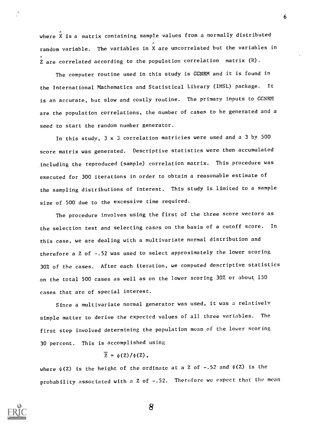where X is a matrix containing sample values from a normally distributed random variable. The variables in X are uncorrelated but the variables in Z are correlated according to the population correlation matrix (R).

The computer routine used in this study is GGNRM and it is found in the International Mathematics and Statistical Library (IMSL) package. It is an accurate, but slow and costly routine. The primary inputs to GGNRM are the population correlations, the number of cases to be generated and a seed to start the random number generator.

In this study, 3 x 3 correlation matricies were used and a 3 by 500 score matrix was generated. Descriptive statistics were then accumulated including the reproduced (sample) correlation matrix. This procedure was executed for 300 iterations in order to obtain a reasonable estimate of the sampling distributions of interest. This study is limited to a sample size of 500 due to the excessive time required.

The procedure involves using the first of the three score vectors as the selection test and selecting cases on the basis of a cutoff score. In this case, we are dealing with a multivariate normal distribution and therefore a Z of -.52 was used to select approximately the lower scoring 30% of the cases. After each iteration, we computed descriptive statistics on the total 500 cases as well as on the lower scoring 30% or about 150 cases that are of special interest.

Since a multivariate normal generator was used, it was a relatively simple matter to derive the expected values of all three variables. The first step involved determining the population mean of the lower scoring 30 percent. This is accomplished using

## $\overline{z} = \psi(z)/\phi(z)$ ,

where  $\psi(Z)$  is the height of the ordinate at a Z of -.52 and  $\phi(Z)$  is the probability associated with a Z of -.52. Therefore we expect that the mean



8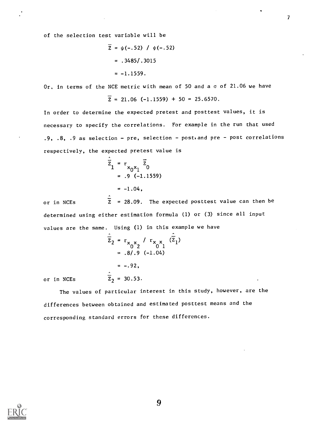of the selection test variable will be

$$
\overline{z} = \psi(-.52) / \psi(-.52)
$$
  
= .3485/.3015  
= -1.1559.

Or, in terms of the NCE metric with mean of 50 and a  $\sigma$  of 21.06 we have

$$
\overline{z} = 21.06 (-1.1559) + 50 = 25.6570.
$$

In order to determine the expected pretest and posttest values, it is necessary to specify the correlations. For example in the run that used .9, .8, .9 as selection - pre, selection - post,and pre - post correlations respectively, the expected pretest value is

$$
\overline{z}_{1} = r_{x_{0}x_{1}} \overline{z}_{0}
$$
  
= .9 (-1.1559)  
= -1.04,

or in NCEs  $\overline{z}$  = 28.09. The expected posttest value can then be determined using either estimation formula (1) or (3) since all input values are the same. Using (1) in this example we have

$$
\hat{z}_2 = r_{x_0 x_2} / r_{x_0 x_1} (\hat{z}_1)
$$
  
= .8/.9 (-1.04)  
= -.92,

or in NCEs  $\hat{\overline{z}}_2$  = 30.53.

The values of particular interest in this study, however, are the differences between obtained and estimated posttest means and the corresponding standard errors for these differences.

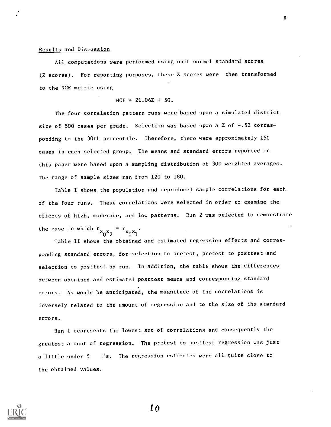#### Results and Discussion

All computations were performed using unit normal standard scores (Z scores). For reporting purposes, these Z scores were then transformed to the NCE metric using

 $NCE = 21.06Z + 50.$ 

The four correlation pattern runs were based upon a simulated district size of 500 cases per grade. Selection was based upon a Z of -.52 corresponding to the 30th percentile. Therefore, there were approximately 150 cases in each selected group. The means and standard errors reported in this paper were based upon a sampling distribution of 300 weighted averages. The range of sample sizes ran from 120 to 180.

Table I shows the population and reproduced sample correlations for each of the four runs. These correlations were selected in order to examine the effects of high, moderate, and low patterns. Run 2 was selected to demonstrate the case in which  $r_{x_0x_2} = r_{x_0x_1}$ .

Table II shows the obtained and estimated regression effects and corresponding standard errors, for selection to pretest, pretest to posttest and selection to posttest by run. In addition, the table shows the differences between obtained and estimated posttest means and corresponding standard errors. As would be anticipated, the magnitude of the correlations is inversely related to the amount of regression and to the size of the standard errors.

Run 1 represents the lowest set of correlations and consequently the greatest a nount of regression. The pretest to posttest regression was just a little under 5 . 's. The regression estimates were all quite close to the obtained values.

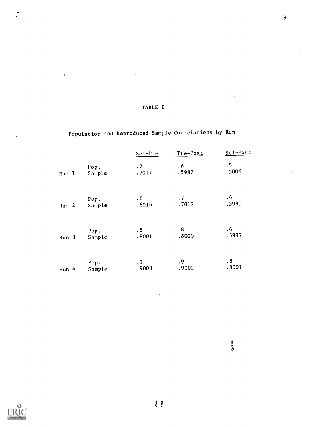|                  |        | Sel-Pre | Pre-Post | Sel-Post  |
|------------------|--------|---------|----------|-----------|
| Run 1            | Pop.   | .7      | .6       | $\cdot$ 5 |
|                  | Sample | .7017   | .5982    | .5006     |
| Run <sub>2</sub> | Pop.   | .6      | .7       | .6        |
|                  | Sample | .6016   | .7017    | .5981     |
| Run <sub>3</sub> | Pop.   | .8      | .8       | $.6\,$    |
|                  | Sample | .8001   | .8000    | .5997     |
| $Run$ 4          | Pop.   | .9      | .9       | $\cdot$ 8 |
|                  | Sample | .9003   | .9002    | .8001     |

 $\vec{\xi}$  ,

Population and Reproduced Sample Correlations by Run

TABLE I

 $\ddot{\phantom{a}}$ 

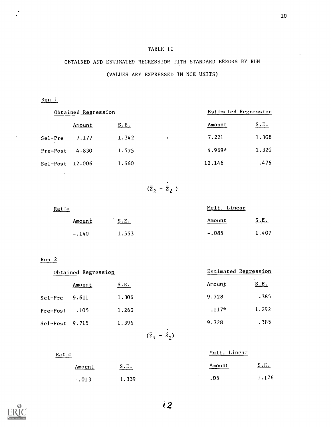## TABLE 11

# OBTAINED AND ESTIMATED REGRESSION WITH STANDARD ERRORS BY RUN (VALUES ARE EXPRESSED IN NCE UNITS)

# Run 1

 $\bar{z}$ 

| Obtained Regression |        |       | Estimated Regression |          |       |  |
|---------------------|--------|-------|----------------------|----------|-------|--|
|                     | Amount | S.E.  |                      | Amount   | S.E.  |  |
| Sel-Pre             | 7.177  | 1.342 | $\sim$ 3             | 7.221    | 1.308 |  |
| Pre-Post            | 4.830  | 1.575 |                      | $4.969*$ | 1.320 |  |
| $Sel-Post$          | 12.006 | 1.660 |                      | 12.146   | .476  |  |
|                     |        |       |                      |          |       |  |

$$
(\bar{z}_2 - \hat{\bar{z}}_2)
$$

| Ratio |         |       | Mult. Linear |       |  |
|-------|---------|-------|--------------|-------|--|
|       | Amount  | S.E.  | Amount       | S.E.  |  |
|       | $-.140$ | 1.553 | $-.085$      | 1.407 |  |

## Run 2

 $\mathcal{A}$ 

 $\sim 10$ 

Ratio

| Obtained Regression |        |       |                           | Estimated Regression |
|---------------------|--------|-------|---------------------------|----------------------|
|                     | Amount | S.E.  | Amount                    | S.E.                 |
| Sel-Pre             | 9.611  | 1.306 | 9.728                     | .385                 |
| Pre-Post            | .105   | 1.260 | $.117*$                   | 1.292                |
| $Sel-Post$ 9.715    |        | 1.396 | 9.728                     | .385                 |
|                     |        |       | $(\bar{z}_2 - \bar{z}_2)$ |                      |

|         |       | Mult. Linear |       |  |
|---------|-------|--------------|-------|--|
| Amount  | S.E.  | Amount       | S.F.  |  |
| $-.013$ | 1.339 | .05          | 1.126 |  |

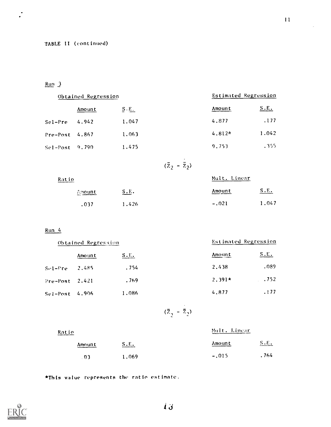## TABLE 11 (continued)

# Run 3

 $\cdot$ 

| Obtained Regression  |        | Estimated Regression |          |             |
|----------------------|--------|----------------------|----------|-------------|
|                      | Amount | $S$ $E_$             | Amount   | <u>S.E.</u> |
| Sel-Pre              | 4.942  | 1.047                | 4.877    | .177        |
| $Pre-Post$ 4.867     |        | 1.063                | $4.812*$ | 1.042       |
| $Set - Post - 9.790$ |        | 1.475                | 9.753    | . 355       |

$$
(\bar{z}_2 - \bar{z}_2)
$$

 $\ddot{\phantom{0}}$ 

| Ratio  |       | Mult. Linear |       |
|--------|-------|--------------|-------|
| 高四Ount | S.E.  | Amount       | S.E.  |
| .037   | 1.426 | $-.021$      | 1.047 |

## Run 4

| Obtained Regression |        | Estimated Regression |          |              |  |
|---------------------|--------|----------------------|----------|--------------|--|
|                     | Amount | <u>S.E.</u>          | Amount   | <u>S.E.</u>  |  |
| $Sef-Pre$           | 2.485  | .754                 | 2.438    | .089         |  |
| $Pre-Post$ 2.421    |        | .769                 | $2.391*$ | $\ldots$ 752 |  |
| $Se1-Post$ 4.906    |        | 1,086                | 4.877    | .177         |  |

$$
(\overline{z}_2 - \overline{z}_2)
$$

## Ratio

| Amount | S.E.  | Amount<br>_____ | S.E.  |  |
|--------|-------|-----------------|-------|--|
| .03    | 1.069 | $-.015$         | . 764 |  |

Mult. Linear

\*This value represents the ratio estimate.

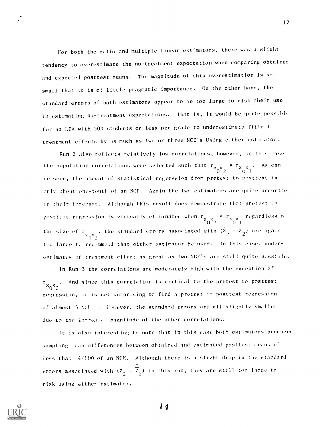For both the ratio and multiple linear estimators, there was a slight tendency to overestimate the no-treatment expectation when comparing obtained and expected posttest means. The magnitude of this overestimation is so small that it is of little pragmatic importance. On the other hand, the standard errors of both estimators appear to he too large to risk their use in estimating no-treatment expectations. That is, it would be quite possibl. for an LEA with 500 students or less per grade to underestimate Title <sup>1</sup> treatment effects by Is much as two or three NCE's Using either estimator.

Run 2 also reflects relatively low correlations, however, in this case the population correlations were selected such that  $r_{\text{X}_{\text{O}}\text{X}_{\text{2}}} = r_{\text{X}_{\text{O}}\text{X}_{\text{1}}}$ . As can he seen, the amount of statistical regression from pretest to posttest is only about one-tenth of an NCE. Again the two estimators are quite accurate in their forecast. Although this result does demonstrate that pretest <sup>1</sup> posttest regression is virtually eliminated when  $r_{x_0^x} = r_{x_0^x}$  regardless of the size of  $\mathbf{r}_{\mathbf{x}_1 \mathbf{x}_2}$ , the standard errors associated with  $(\mathbf{z}_2 - \mathbf{z}_2)$  are again too large to recommend that either estimator he used. In this case, underestimates of treatment effect as great as two NCE's arc still quite possible.

In Run 3 the correlations are moderately high with the exception of  $\times_0 \times_2$  . And since this correlation is critical to the pretest to posttest regression, it is not surprising to find a pretest to posttest regression of almost 5 Ncr H'iwever, the standard errors are all slightly smaller due to the increased magnitude of the other correlations.

it is also interesting to note that in this case both estimators produced sampling mean differences between obtained and estimated posttest means of less than 4/100 of an NCE. Although there is a slight drop in the standard errors associated with  $(\bar{\mathbb{Z}}_2 - \mathbb{Z}_2)$  in this run, they are still too large to risk using either estimator.



*i* 4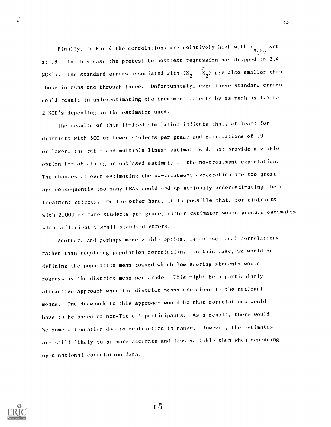Finally, in Run 4 the correlations are relatively high with  $\rm r_{x}\rm_{0}x_{2}$  set at .8. In this case the pretest to posttest regression has dropped to 2.4 NCE's. The standard errors associated with  $(\overline{Z}_2 - \hat{\overline{Z}}_2)$  are also smaller than those in runs one through three. Unfortunately, even these standard errors could result in underestimating the treatment effects by as much as 1.5 to 2 NCE's depending on the estimator used.

The results of this limited simulation indicate that, at least for districts with 500 or fewer students per grade and correlations of .9 or lower, the ratio and multiple linear estimators do not provide a viable option for obtaining an unbiased estimate of the no-treatment expectation. The chances of over estimating the no-treatment expectation are too great and consequently too many LEAs could end up seriously underestimating their treatment effects. On the other hand, it is possible that, for districts with 2,000 or more students per grade, either estimator would produce estimates with sufficiently small stan lard errors.

Another, and perhaps more viable opt ion, is to use local correlations rather than requiring population correlation. In this case, we would he defining the population mean toward which low scoring students would regress as the district mean per grade. This might be a particularly attractive approach when the district means are close to the national means. One drawback to this approach would be that correlations would have to be based on non-Title I participants. As a result, there would be some attenuation due to restriction in range. However, the estimates are still likely to be more accurate and less variable than when depending upon national correlation data.